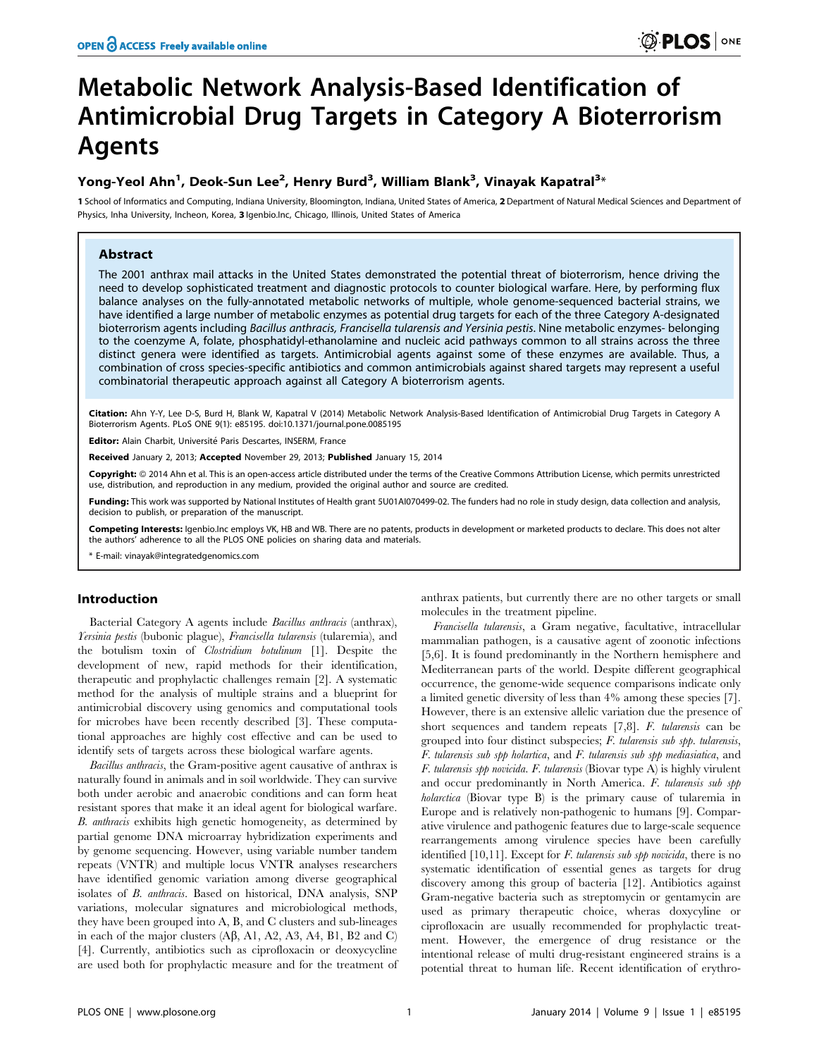# Metabolic Network Analysis-Based Identification of Antimicrobial Drug Targets in Category A Bioterrorism Agents

## Yong-Yeol Ahn<sup>1</sup>, Deok-Sun Lee<sup>2</sup>, Henry Burd<sup>3</sup>, William Blank<sup>3</sup>, Vinayak Kapatral<sup>3</sup>\*

1 School of Informatics and Computing, Indiana University, Bloomington, Indiana, United States of America, 2 Department of Natural Medical Sciences and Department of Physics, Inha University, Incheon, Korea, 3 Igenbio.Inc, Chicago, Illinois, United States of America

#### Abstract

The 2001 anthrax mail attacks in the United States demonstrated the potential threat of bioterrorism, hence driving the need to develop sophisticated treatment and diagnostic protocols to counter biological warfare. Here, by performing flux balance analyses on the fully-annotated metabolic networks of multiple, whole genome-sequenced bacterial strains, we have identified a large number of metabolic enzymes as potential drug targets for each of the three Category A-designated bioterrorism agents including Bacillus anthracis, Francisella tularensis and Yersinia pestis. Nine metabolic enzymes- belonging to the coenzyme A, folate, phosphatidyl-ethanolamine and nucleic acid pathways common to all strains across the three distinct genera were identified as targets. Antimicrobial agents against some of these enzymes are available. Thus, a combination of cross species-specific antibiotics and common antimicrobials against shared targets may represent a useful combinatorial therapeutic approach against all Category A bioterrorism agents.

Citation: Ahn Y-Y, Lee D-S, Burd H, Blank W, Kapatral V (2014) Metabolic Network Analysis-Based Identification of Antimicrobial Drug Targets in Category A Bioterrorism Agents. PLoS ONE 9(1): e85195. doi:10.1371/journal.pone.0085195

Editor: Alain Charbit, Université Paris Descartes, INSERM, France

Received January 2, 2013; Accepted November 29, 2013; Published January 15, 2014

Copyright: © 2014 Ahn et al. This is an open-access article distributed under the terms of the Creative Commons Attribution License, which permits unrestricted use, distribution, and reproduction in any medium, provided the original author and source are credited.

Funding: This work was supported by National Institutes of Health grant 5U01AI070499-02. The funders had no role in study design, data collection and analysis, decision to publish, or preparation of the manuscript.

Competing Interests: Igenbio.Inc employs VK, HB and WB. There are no patents, products in development or marketed products to declare. This does not alter the authors' adherence to all the PLOS ONE policies on sharing data and materials.

\* E-mail: vinayak@integratedgenomics.com

## Introduction

Bacterial Category A agents include Bacillus anthracis (anthrax), Yersinia pestis (bubonic plague), Francisella tularensis (tularemia), and the botulism toxin of Clostridium botulinum [1]. Despite the development of new, rapid methods for their identification, therapeutic and prophylactic challenges remain [2]. A systematic method for the analysis of multiple strains and a blueprint for antimicrobial discovery using genomics and computational tools for microbes have been recently described [3]. These computational approaches are highly cost effective and can be used to identify sets of targets across these biological warfare agents.

Bacillus anthracis, the Gram-positive agent causative of anthrax is naturally found in animals and in soil worldwide. They can survive both under aerobic and anaerobic conditions and can form heat resistant spores that make it an ideal agent for biological warfare. B. anthracis exhibits high genetic homogeneity, as determined by partial genome DNA microarray hybridization experiments and by genome sequencing. However, using variable number tandem repeats (VNTR) and multiple locus VNTR analyses researchers have identified genomic variation among diverse geographical isolates of B. anthracis. Based on historical, DNA analysis, SNP variations, molecular signatures and microbiological methods, they have been grouped into A, B, and C clusters and sub-lineages in each of the major clusters  $(A\beta, A1, A2, A3, A4, B1, B2 \text{ and } C)$ [4]. Currently, antibiotics such as ciprofloxacin or deoxycycline are used both for prophylactic measure and for the treatment of anthrax patients, but currently there are no other targets or small molecules in the treatment pipeline.

Francisella tularensis, a Gram negative, facultative, intracellular mammalian pathogen, is a causative agent of zoonotic infections [5,6]. It is found predominantly in the Northern hemisphere and Mediterranean parts of the world. Despite different geographical occurrence, the genome-wide sequence comparisons indicate only a limited genetic diversity of less than 4% among these species [7]. However, there is an extensive allelic variation due the presence of short sequences and tandem repeats [7,8]. F. tularensis can be grouped into four distinct subspecies; F. tularensis sub spp. tularensis, F. tularensis sub spp holartica, and F. tularensis sub spp mediasiatica, and F. tularensis spp novicida. F. tularensis (Biovar type A) is highly virulent and occur predominantly in North America. F. tularensis sub spp holarctica (Biovar type B) is the primary cause of tularemia in Europe and is relatively non-pathogenic to humans [9]. Comparative virulence and pathogenic features due to large-scale sequence rearrangements among virulence species have been carefully identified  $[10,11]$ . Except for *F. tularensis sub spp novicida*, there is no systematic identification of essential genes as targets for drug discovery among this group of bacteria [12]. Antibiotics against Gram-negative bacteria such as streptomycin or gentamycin are used as primary therapeutic choice, wheras doxycyline or ciprofloxacin are usually recommended for prophylactic treatment. However, the emergence of drug resistance or the intentional release of multi drug-resistant engineered strains is a potential threat to human life. Recent identification of erythro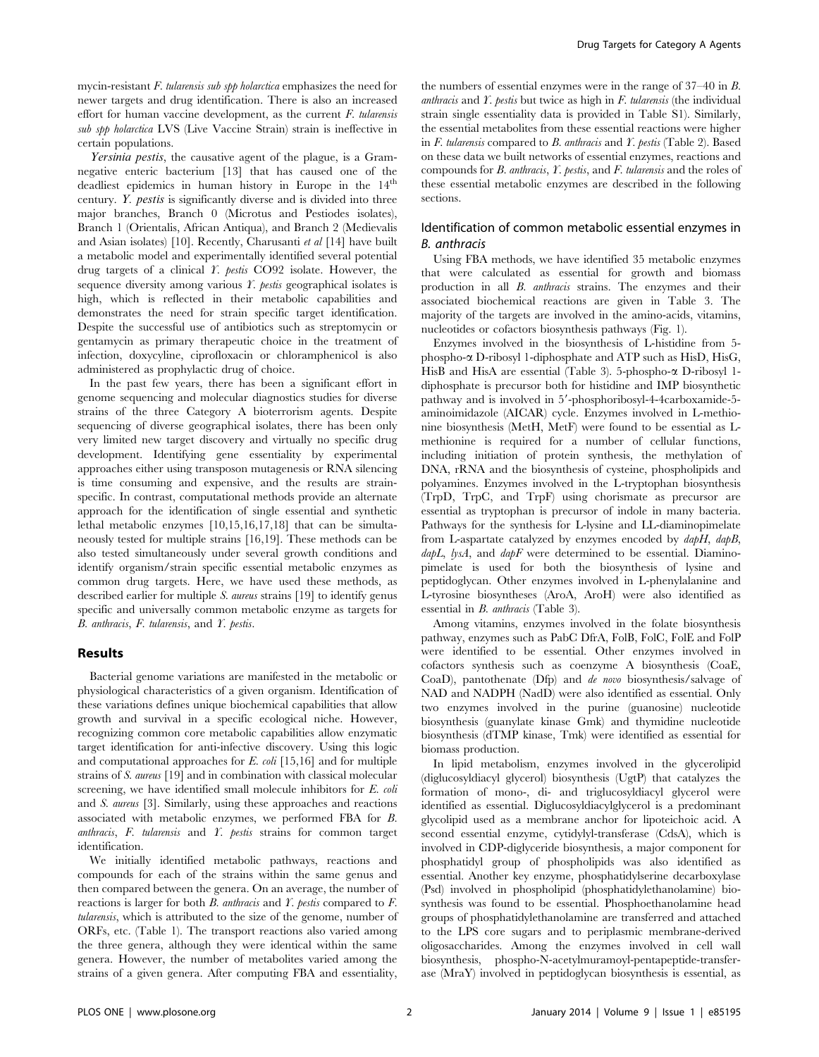mycin-resistant  $F$ . tularensis sub spp holarctica emphasizes the need for newer targets and drug identification. There is also an increased effort for human vaccine development, as the current  $F$ . tularensis sub spp holarctica LVS (Live Vaccine Strain) strain is ineffective in certain populations.

Yersinia pestis, the causative agent of the plague, is a Gramnegative enteric bacterium [13] that has caused one of the deadliest epidemics in human history in Europe in the 14<sup>th</sup> century. Y. pestis is significantly diverse and is divided into three major branches, Branch 0 (Microtus and Pestiodes isolates), Branch 1 (Orientalis, African Antiqua), and Branch 2 (Medievalis and Asian isolates) [10]. Recently, Charusanti et al [14] have built a metabolic model and experimentally identified several potential drug targets of a clinical Y. pestis CO92 isolate. However, the sequence diversity among various  $Y$ . pestis geographical isolates is high, which is reflected in their metabolic capabilities and demonstrates the need for strain specific target identification. Despite the successful use of antibiotics such as streptomycin or gentamycin as primary therapeutic choice in the treatment of infection, doxycyline, ciprofloxacin or chloramphenicol is also administered as prophylactic drug of choice.

In the past few years, there has been a significant effort in genome sequencing and molecular diagnostics studies for diverse strains of the three Category A bioterrorism agents. Despite sequencing of diverse geographical isolates, there has been only very limited new target discovery and virtually no specific drug development. Identifying gene essentiality by experimental approaches either using transposon mutagenesis or RNA silencing is time consuming and expensive, and the results are strainspecific. In contrast, computational methods provide an alternate approach for the identification of single essential and synthetic lethal metabolic enzymes [10,15,16,17,18] that can be simultaneously tested for multiple strains [16,19]. These methods can be also tested simultaneously under several growth conditions and identify organism/strain specific essential metabolic enzymes as common drug targets. Here, we have used these methods, as described earlier for multiple S. aureus strains [19] to identify genus specific and universally common metabolic enzyme as targets for B. anthracis, F. tularensis, and Y. pestis.

#### Results

Bacterial genome variations are manifested in the metabolic or physiological characteristics of a given organism. Identification of these variations defines unique biochemical capabilities that allow growth and survival in a specific ecological niche. However, recognizing common core metabolic capabilities allow enzymatic target identification for anti-infective discovery. Using this logic and computational approaches for E. coli [15,16] and for multiple strains of S. aureus [19] and in combination with classical molecular screening, we have identified small molecule inhibitors for E. coli and S. aureus [3]. Similarly, using these approaches and reactions associated with metabolic enzymes, we performed FBA for B. anthracis, F. tularensis and Y. pestis strains for common target identification.

We initially identified metabolic pathways, reactions and compounds for each of the strains within the same genus and then compared between the genera. On an average, the number of reactions is larger for both  $B$ . anthracis and  $Y$ . pestis compared to  $F$ . tularensis, which is attributed to the size of the genome, number of ORFs, etc. (Table 1). The transport reactions also varied among the three genera, although they were identical within the same genera. However, the number of metabolites varied among the strains of a given genera. After computing FBA and essentiality,

the numbers of essential enzymes were in the range of 37–40 in B. anthracis and  $\Gamma$ . pestis but twice as high in  $F$ . tularensis (the individual strain single essentiality data is provided in Table S1). Similarly, the essential metabolites from these essential reactions were higher in F. tularensis compared to B. anthracis and Y. pestis (Table 2). Based on these data we built networks of essential enzymes, reactions and compounds for B. anthracis, Y. pestis, and F. tularensis and the roles of these essential metabolic enzymes are described in the following sections.

#### Identification of common metabolic essential enzymes in B. anthracis

Using FBA methods, we have identified 35 metabolic enzymes that were calculated as essential for growth and biomass production in all B. anthracis strains. The enzymes and their associated biochemical reactions are given in Table 3. The majority of the targets are involved in the amino-acids, vitamins, nucleotides or cofactors biosynthesis pathways (Fig. 1).

Enzymes involved in the biosynthesis of L-histidine from 5 phospho-a D-ribosyl 1-diphosphate and ATP such as HisD, HisG, HisB and HisA are essential (Table 3). 5-phospho- $\alpha$  D-ribosyl 1diphosphate is precursor both for histidine and IMP biosynthetic pathway and is involved in 5'-phosphoribosyl-4-4carboxamide-5aminoimidazole (AICAR) cycle. Enzymes involved in L-methionine biosynthesis (MetH, MetF) were found to be essential as Lmethionine is required for a number of cellular functions, including initiation of protein synthesis, the methylation of DNA, rRNA and the biosynthesis of cysteine, phospholipids and polyamines. Enzymes involved in the L-tryptophan biosynthesis (TrpD, TrpC, and TrpF) using chorismate as precursor are essential as tryptophan is precursor of indole in many bacteria. Pathways for the synthesis for L-lysine and LL-diaminopimelate from L-aspartate catalyzed by enzymes encoded by dapH, dapB,  $dabL$ , lysA, and  $dabF$  were determined to be essential. Diaminopimelate is used for both the biosynthesis of lysine and peptidoglycan. Other enzymes involved in L-phenylalanine and L-tyrosine biosyntheses (AroA, AroH) were also identified as essential in B. anthracis (Table 3).

Among vitamins, enzymes involved in the folate biosynthesis pathway, enzymes such as PabC DfrA, FolB, FolC, FolE and FolP were identified to be essential. Other enzymes involved in cofactors synthesis such as coenzyme A biosynthesis (CoaE, CoaD), pantothenate (Dfp) and de novo biosynthesis/salvage of NAD and NADPH (NadD) were also identified as essential. Only two enzymes involved in the purine (guanosine) nucleotide biosynthesis (guanylate kinase Gmk) and thymidine nucleotide biosynthesis (dTMP kinase, Tmk) were identified as essential for biomass production.

In lipid metabolism, enzymes involved in the glycerolipid (diglucosyldiacyl glycerol) biosynthesis (UgtP) that catalyzes the formation of mono-, di- and triglucosyldiacyl glycerol were identified as essential. Diglucosyldiacylglycerol is a predominant glycolipid used as a membrane anchor for lipoteichoic acid. A second essential enzyme, cytidylyl-transferase (CdsA), which is involved in CDP-diglyceride biosynthesis, a major component for phosphatidyl group of phospholipids was also identified as essential. Another key enzyme, phosphatidylserine decarboxylase (Psd) involved in phospholipid (phosphatidylethanolamine) biosynthesis was found to be essential. Phosphoethanolamine head groups of phosphatidylethanolamine are transferred and attached to the LPS core sugars and to periplasmic membrane-derived oligosaccharides. Among the enzymes involved in cell wall biosynthesis, phospho-N-acetylmuramoyl-pentapeptide-transferase (MraY) involved in peptidoglycan biosynthesis is essential, as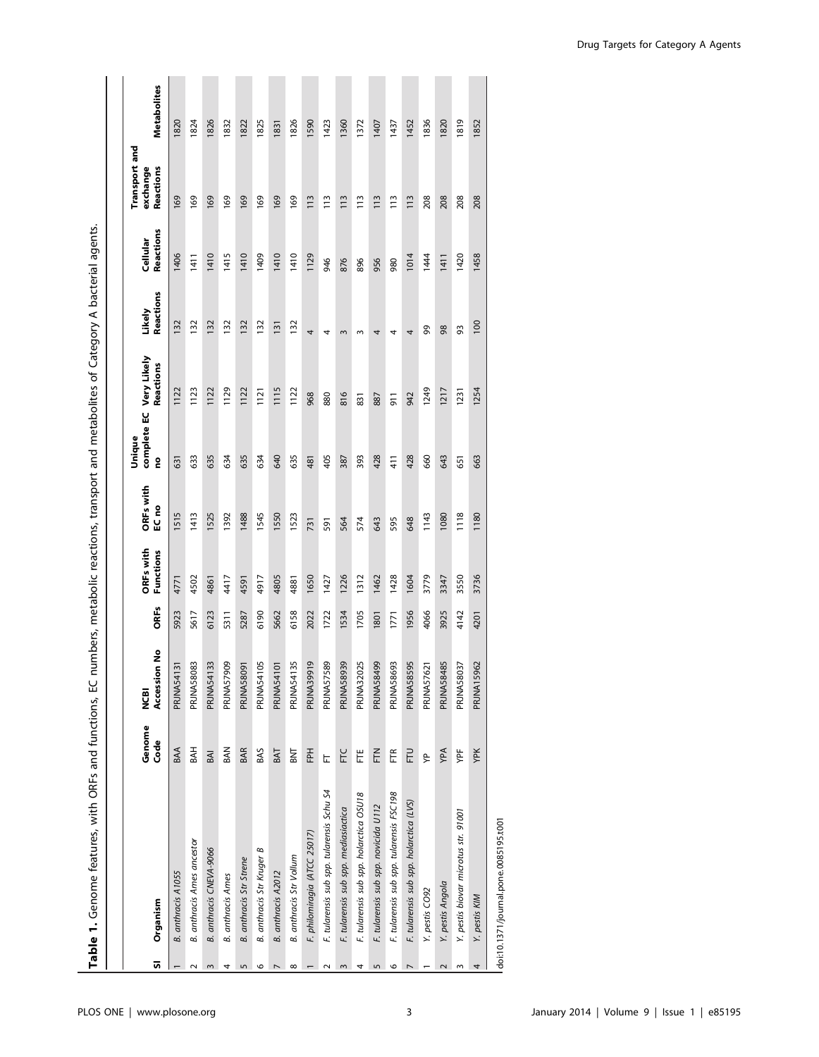| ភ              | Organism                                  | Genome<br>Code | Accession No<br><b>BD</b> | <b>ORFs</b> | ORFs with<br>Functions | ORFs with<br>EC no | Unique<br>g | complete EC Very Likely<br>Reactions | Reactions<br>Likely | Reactions<br>Cellular | Transport and<br>Reactions<br>exchange | <b>Metabolites</b> |
|----------------|-------------------------------------------|----------------|---------------------------|-------------|------------------------|--------------------|-------------|--------------------------------------|---------------------|-----------------------|----------------------------------------|--------------------|
|                | B. anthracis A1055                        | BAA            | <b>PRJNA54131</b>         | 5923        | 4771                   | 1515               | 631         | 1122                                 | 132                 | 1406                  | 169                                    | 1820               |
| $\sim$         | <b>B.</b> anthracis Ames ancestor         | BAH            | <b>PRJNA58083</b>         | 5617        | 4502                   | 1413               | 633         | 1123                                 | 132                 | 1411                  | 169                                    | 1824               |
| 3              | B. anthracis CNEVA-9066                   | BAI            | PRJNA54133                | 6123        | 4861                   | 1525               | 635         | 1122                                 | 132                 | 1410                  | 169                                    | 1826               |
| 4              | <b>B.</b> anthracis Ames                  | <b>BAN</b>     | 909<br>PRJNA57            | 5311        | 417                    | 1392               | 634         | 1129                                 | 132                 | 1415                  | 169                                    | 1832               |
| $\overline{5}$ | B. anthracis Str Strene                   | <b>BAR</b>     | PRJNA58091                | 5287        | 4591                   | 1488               | 635         | 1122                                 | 132                 | 1410                  | 169                                    | 1822               |
| 6              | B. anthracis Str Kruger B                 | BAS            | PRJNA54105                | 6190        | 4917                   | 1545               | 634         | 1121                                 | 132                 | 1409                  | 169                                    | 1825               |
| $\overline{ }$ | B. anthracis A2012                        | BAT            | PRJNA54101                | 5662        | 4805                   | 1550               | 640         | 1115                                 | 131                 | 1410                  | 169                                    | 1831               |
| $^{\circ}$     | B. anthracis Str Vollum                   | <b>ENE</b>     | PRJNA54135                | 6158        | 4881                   | 1523               | 635         | 1122                                 | 132                 | 1410                  | 169                                    | 1826               |
|                | F. philomiragia (ATCC 25017)              | 준              | <b>PRJNA39919</b>         | 2022        | 1650                   | 731                | 481         | 968                                  | 4                   | 1129                  | 113                                    | 1590               |
| $\sim$         | F. tularensis sub spp. tularensis Schu S4 | E              | <b>PRJNA57589</b>         | 1722        | 1427                   | 591                | 405         | 880                                  | 4                   | 946                   | $\frac{13}{2}$                         | 1423               |
| 3              | F. tularensis sub spp. mediasiactica      | FTC            | <b>PRJNA58939</b>         | 1534        | 1226                   | 564                | 387         | 816                                  | $\mathsf{S}$        | 876                   | 113                                    | 1360               |
| 4              | F. tularensis sub spp. holarctica OSU18   | Ë              | PRJNA32025                | 1705        | 1312                   | 574                | 393         | 831                                  | $\mathsf{S}$        | 896                   | $\frac{13}{2}$                         | 1372               |
| 5              | F. tularensis sub spp. novicida U112      | FTN            | PRJNA58499                | 1801        | 1462                   | 643                | 428         | 887                                  | 4                   | 956                   | 113                                    | 1407               |
| $\circ$        | F. tularensis sub spp. tularensis FSC198  | EF             | <b>PRJNA58693</b>         | 1771        | 1428                   | 595                | 41          | $\overline{5}$                       | 4                   | 980                   | $\frac{13}{2}$                         | 1437               |
| $\overline{ }$ | F. tularensis sub spp. holarctica (LVS)   | FTU            | <b>PRJNA58595</b>         | 1956        | 1604                   | 648                | 428         | 942                                  | 4                   | 1014                  | 113                                    | 1452               |
|                | Y. pestis CO92                            | ₹              | PRJNA57621                | 4066        | 3779                   | 1143               | 660         | 1249                                 | ஜ                   | 1444                  | 208                                    | 1836               |
| $\sim$         | Y. pestis Angola                          | YPA            | <b>PRJNA58485</b>         | 3925        | 3347                   | 1080               | 643         | 1217                                 | 8                   | 1411                  | 208                                    | 1820               |
| ω              | Y. pestis biovar microtus str. 91001      | YPF            | PRJNA58037                | 4142        | 3550                   | 1118               | 651         | 1231                                 | 93                  | 1420                  | 208                                    | 1819               |
| 4              | Y. pestis KIM                             | YPK            | <b>PRJNA15962</b>         | 4201        | 3736                   | 1180               | 663         | 1254                                 | 100                 | 1458                  | 208                                    | 1852               |
|                | doi:10.1271/journal nono 0005105+001      |                |                           |             |                        |                    |             |                                      |                     |                       |                                        |                    |

l doi:10.1371/journal.pone.0085195.t001 doi:10.1371/journal.pone.0085195.t001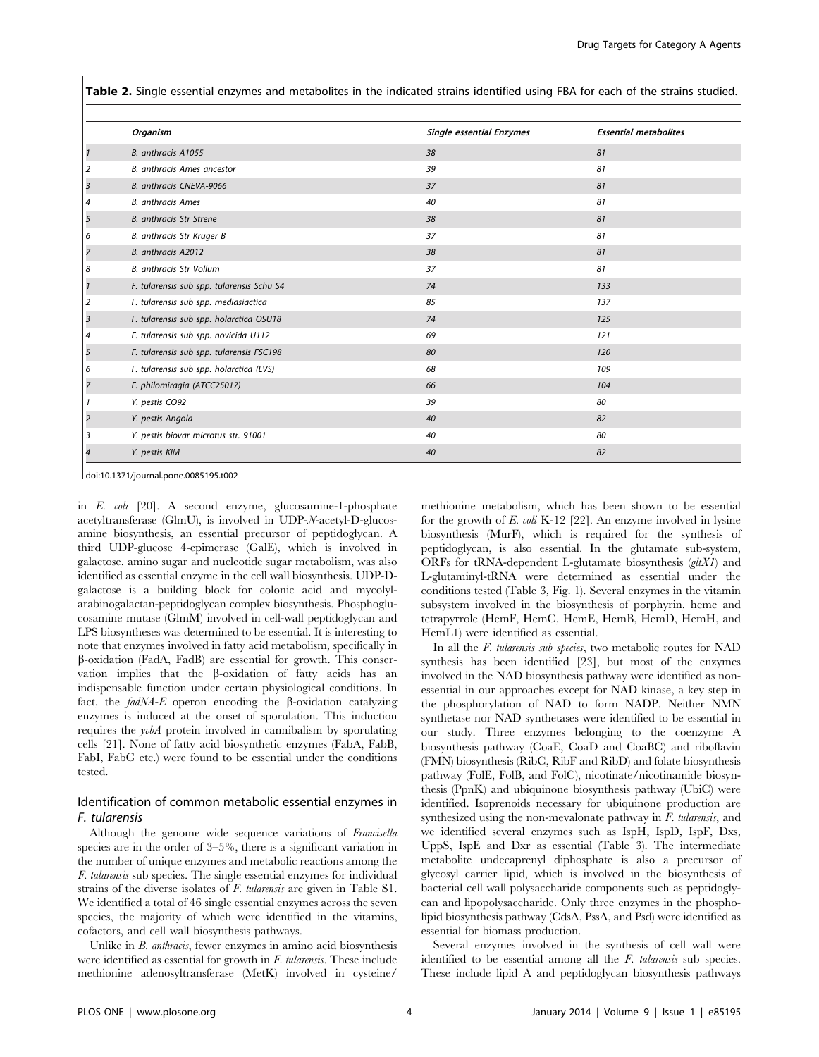Table 2. Single essential enzymes and metabolites in the indicated strains identified using FBA for each of the strains studied.

|                | Organism                                  | <b>Single essential Enzymes</b> | <b>Essential metabolites</b> |
|----------------|-------------------------------------------|---------------------------------|------------------------------|
|                | B. anthracis A1055                        | 38                              | 81                           |
| 2              | B. anthracis Ames ancestor                | 39                              | 81                           |
| $\overline{3}$ | B. anthracis CNEVA-9066                   | 37                              | 81                           |
| $\overline{4}$ | <b>B.</b> anthracis Ames                  | 40                              | 81                           |
| 5              | B. anthracis Str Strene                   | 38                              | 81                           |
| 6              | B. anthracis Str Kruger B                 | 37                              | 81                           |
| $\overline{7}$ | B. anthracis A2012                        | 38                              | 81                           |
| 8              | B. anthracis Str Vollum                   | 37                              | 81                           |
|                | F. tularensis sub spp. tularensis Schu S4 | 74                              | 133                          |
| $\overline{2}$ | F. tularensis sub spp. mediasiactica      | 85                              | 137                          |
| $\overline{3}$ | F. tularensis sub spp. holarctica OSU18   | 74                              | 125                          |
| 4              | F. tularensis sub spp. novicida U112      | 69                              | 121                          |
| 5              | F. tularensis sub spp. tularensis FSC198  | 80                              | 120                          |
| 6              | F. tularensis sub spp. holarctica (LVS)   | 68                              | 109                          |
| 7              | F. philomiragia (ATCC25017)               | 66                              | 104                          |
|                | Y. pestis CO92                            | 39                              | 80                           |
| $\overline{2}$ | Y. pestis Angola                          | 40                              | 82                           |
| 3              | Y. pestis biovar microtus str. 91001      | 40                              | 80                           |
| 4              | Y. pestis KIM                             | 40                              | 82                           |

doi:10.1371/journal.pone.0085195.t002

in E. coli [20]. A second enzyme, glucosamine-1-phosphate acetyltransferase (GlmU), is involved in UDP-N-acetyl-D-glucosamine biosynthesis, an essential precursor of peptidoglycan. A third UDP-glucose 4-epimerase (GalE), which is involved in galactose, amino sugar and nucleotide sugar metabolism, was also identified as essential enzyme in the cell wall biosynthesis. UDP-Dgalactose is a building block for colonic acid and mycolylarabinogalactan-peptidoglycan complex biosynthesis. Phosphoglucosamine mutase (GlmM) involved in cell-wall peptidoglycan and LPS biosyntheses was determined to be essential. It is interesting to note that enzymes involved in fatty acid metabolism, specifically in b-oxidation (FadA, FadB) are essential for growth. This conservation implies that the b-oxidation of fatty acids has an indispensable function under certain physiological conditions. In fact, the  $f \text{ad} \text{MA-}E$  operon encoding the  $\beta$ -oxidation catalyzing enzymes is induced at the onset of sporulation. This induction requires the yvbA protein involved in cannibalism by sporulating cells [21]. None of fatty acid biosynthetic enzymes (FabA, FabB, FabI, FabG etc.) were found to be essential under the conditions tested.

#### Identification of common metabolic essential enzymes in F. tularensis

Although the genome wide sequence variations of Francisella species are in the order of 3–5%, there is a significant variation in the number of unique enzymes and metabolic reactions among the F. tularensis sub species. The single essential enzymes for individual strains of the diverse isolates of F. tularensis are given in Table S1. We identified a total of 46 single essential enzymes across the seven species, the majority of which were identified in the vitamins, cofactors, and cell wall biosynthesis pathways.

Unlike in B. anthracis, fewer enzymes in amino acid biosynthesis were identified as essential for growth in F. tularensis. These include methionine adenosyltransferase (MetK) involved in cysteine/

methionine metabolism, which has been shown to be essential for the growth of E. coli K-12 [22]. An enzyme involved in lysine biosynthesis (MurF), which is required for the synthesis of peptidoglycan, is also essential. In the glutamate sub-system, ORFs for tRNA-dependent L-glutamate biosynthesis  $(glXI)$  and L-glutaminyl-tRNA were determined as essential under the conditions tested (Table 3, Fig. 1). Several enzymes in the vitamin subsystem involved in the biosynthesis of porphyrin, heme and tetrapyrrole (HemF, HemC, HemE, HemB, HemD, HemH, and HemL1) were identified as essential.

In all the F. tularensis sub species, two metabolic routes for NAD synthesis has been identified [23], but most of the enzymes involved in the NAD biosynthesis pathway were identified as nonessential in our approaches except for NAD kinase, a key step in the phosphorylation of NAD to form NADP. Neither NMN synthetase nor NAD synthetases were identified to be essential in our study. Three enzymes belonging to the coenzyme A biosynthesis pathway (CoaE, CoaD and CoaBC) and riboflavin (FMN) biosynthesis (RibC, RibF and RibD) and folate biosynthesis pathway (FolE, FolB, and FolC), nicotinate/nicotinamide biosynthesis (PpnK) and ubiquinone biosynthesis pathway (UbiC) were identified. Isoprenoids necessary for ubiquinone production are synthesized using the non-mevalonate pathway in F. tularensis, and we identified several enzymes such as IspH, IspD, IspF, Dxs, UppS, IspE and Dxr as essential (Table 3). The intermediate metabolite undecaprenyl diphosphate is also a precursor of glycosyl carrier lipid, which is involved in the biosynthesis of bacterial cell wall polysaccharide components such as peptidoglycan and lipopolysaccharide. Only three enzymes in the phospholipid biosynthesis pathway (CdsA, PssA, and Psd) were identified as essential for biomass production.

Several enzymes involved in the synthesis of cell wall were identified to be essential among all the F. tularensis sub species. These include lipid A and peptidoglycan biosynthesis pathways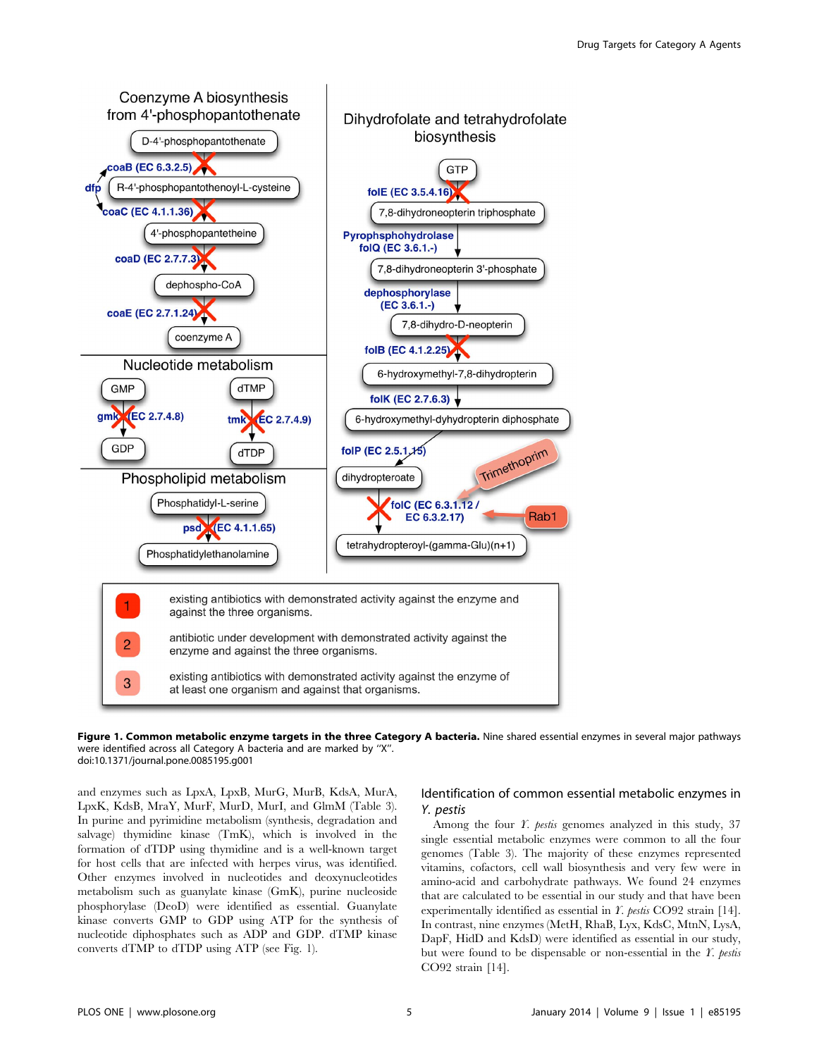

Figure 1. Common metabolic enzyme targets in the three Category A bacteria. Nine shared essential enzymes in several major pathways were identified across all Category A bacteria and are marked by ''X''. doi:10.1371/journal.pone.0085195.g001

and enzymes such as LpxA, LpxB, MurG, MurB, KdsA, MurA, LpxK, KdsB, MraY, MurF, MurD, MurI, and GlmM (Table 3). In purine and pyrimidine metabolism (synthesis, degradation and salvage) thymidine kinase (TmK), which is involved in the formation of dTDP using thymidine and is a well-known target for host cells that are infected with herpes virus, was identified. Other enzymes involved in nucleotides and deoxynucleotides metabolism such as guanylate kinase (GmK), purine nucleoside phosphorylase (DeoD) were identified as essential. Guanylate kinase converts GMP to GDP using ATP for the synthesis of nucleotide diphosphates such as ADP and GDP. dTMP kinase converts dTMP to dTDP using ATP (see Fig. 1).

## Identification of common essential metabolic enzymes in Y. pestis

Among the four *Y. pestis* genomes analyzed in this study, 37 single essential metabolic enzymes were common to all the four genomes (Table 3). The majority of these enzymes represented vitamins, cofactors, cell wall biosynthesis and very few were in amino-acid and carbohydrate pathways. We found 24 enzymes that are calculated to be essential in our study and that have been experimentally identified as essential in Y. pestis CO92 strain [14]. In contrast, nine enzymes (MetH, RhaB, Lyx, KdsC, MtnN, LysA, DapF, HidD and KdsD) were identified as essential in our study, but were found to be dispensable or non-essential in the  $\Gamma$ . pestis CO92 strain [14].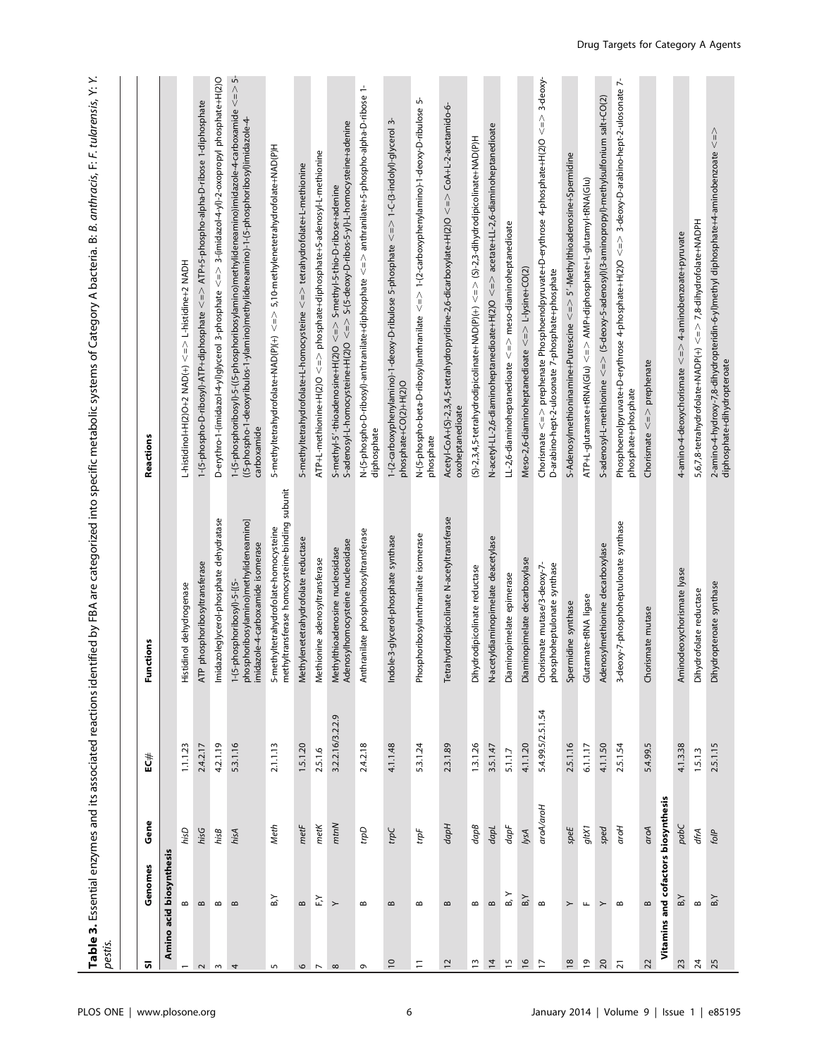| pestis.                  |                                                          |                 | Table 3. Essential enzymes and its associated reactions ider |                                                                                                           | itified by FBA are categorized into specific metabolic systems of Category A bacteria. B: <i>B. anthracis</i> , F: <i>F. tularensis</i> , Y: Y.                                                                                                            |
|--------------------------|----------------------------------------------------------|-----------------|--------------------------------------------------------------|-----------------------------------------------------------------------------------------------------------|------------------------------------------------------------------------------------------------------------------------------------------------------------------------------------------------------------------------------------------------------------|
|                          |                                                          |                 |                                                              |                                                                                                           |                                                                                                                                                                                                                                                            |
| <b>თ</b>                 | Genomes                                                  | Gene            | EC#                                                          | Functions                                                                                                 | Reactions                                                                                                                                                                                                                                                  |
|                          | Amino acid biosynthesis                                  |                 |                                                              |                                                                                                           |                                                                                                                                                                                                                                                            |
| $\overline{\phantom{0}}$ | $\bf{m}$                                                 | hisD            | 1.1.1.23                                                     | Histidinol dehydrogenase                                                                                  | L-histidinol+H(2)O+2 NAD(+) <=> L-histidine+2 NADH                                                                                                                                                                                                         |
| $\sim$                   | $\bf{m}$                                                 | hisG            | 2.4.2.17                                                     | phosphoribosyltransferase<br>ATP                                                                          | 1-(5-phospho-D-ribosyl)-ATP+diphosphate <=> ATP+5-phospho-alpha-D-ribose 1-diphosphate                                                                                                                                                                     |
| $\sim$                   | $\bf{m}$                                                 | hisB            | 4.2.1.19                                                     | Imidazoleglycerol-phosphate dehydratase                                                                   | D-erythro-1-(imidazol-4-yl)glycerol 3-phosphate <=> 3-(imidazol-4-yl)-2-oxopropyl phosphate+H(2)O                                                                                                                                                          |
| 4                        | $\bf{m}$                                                 | hisA            | 5.3.1.16                                                     | phosphoribosylamino)methylideneamino]<br>imidazole-4-carboxamide isomerase<br>1-(5-phosphoribosyl)-5-[(5- | ဟ်<br>$\begin{array}{c}\n\wedge \\ \vee\n\end{array}$<br>1-(5-phosphoribosyl)-5-((5-phosphoribosylamino)methylideneamino)imidazole-4-carboxamide<br>((5-phospho-1-deoxyribulos-1-ylamino)methylideneamino)-1-(5-phosphoribosyl)imidazole-4-<br>carboxamide |
| 5                        | $_{\rm B}$ Y                                             | Meth            | 2.1.1.13                                                     | methyltransferase homocysteine-binding subunit<br>5-methyltetrahydrofolate-homocysteine                   | 5-methyltetrahydrofolate+NAD(P)(+) <=> 5,10-methylenetetrahydrofolate+NAD(P)H                                                                                                                                                                              |
|                          | $\bf{m}$                                                 | $metF$          | 1.5.1.20                                                     | Methylenetetrahydrofolate reductase                                                                       | 5-methyltetrahydrofolate+L-homocysteine <=> tetrahydrofolate+L-methionine                                                                                                                                                                                  |
| $\sim$ $\sim$            | $\stackrel{\textstyle\thicksim}{\scriptscriptstyle\sim}$ | $metK$          | 2.5.1.6                                                      | Methionine adenosyltransferase                                                                            | ATP+L-methionine+H(2)O <=> phosphate+diphosphate+S-adenosyl-L-methionine                                                                                                                                                                                   |
| $\infty$                 | $\rightarrow$                                            | mtnN            | 3.2.2.16/3.2.2.9                                             | Adenosylhomocysteine nucleosidase<br>Methylthioadenosine nucleosidase                                     | S-adenosyl-L-homocysteine+H(2)O <=> S-(5-deoxy-D-ribos-5-yl)-L-homocysteine+adenine<br>S-methyl-5'-thioadenosine+H(2)O <=> S-methyl-5-thio-D-ribose+adenine                                                                                                |
| $\sigma$                 | $\bf{m}$                                                 | adu             | 2.4.2.18                                                     | Anthranilate phosphoribosyltransferase                                                                    | N-(5-phospho-D-ribosyl)-anthranilate+diphosphate <=> anthranilate+5-phospho-alpha-D-ribose 1-<br>diphosphate                                                                                                                                               |
| $\overline{c}$           | $\infty$                                                 | $\mathit{tpc}$  | 4.1.1.48                                                     | Indole-3-glycerol-phosphate synthase                                                                      | က်<br>1-(2-carboxyphenylamino)-1-deoxy-D-ribulose 5-phosphate <=> 1-C-(3-indolyl)-glycerol<br>phosphate+CO(2)+H(2)O                                                                                                                                        |
| $\Xi$                    | $\bf{m}$                                                 | $\mathit{trpF}$ | 53.1.24                                                      | sphoribosylanthranilate isomerase<br>Pho:                                                                 | տ<br>N-(5-phospho-beta-D-ribosyl)anthranilate <=> 1-(2-carboxyphenylamino)-1-deoxy-D-ribulose<br>phosphate                                                                                                                                                 |
| $\overline{c}$           | $\bf{m}$                                                 | $d$ apH         | 2.3.1.89                                                     | ahydrodipicolinate N-acetyltransferase<br>Tetr                                                            | Acetyl-CoA+(S)-2,3,4,5-tetrahydropyridine-2,6-dicarboxylate+H(2)O <=> CoA+L-2-acetamido-6-<br>oxoheptanedioate                                                                                                                                             |
| $\overline{\omega}$      | $\bf{m}$                                                 | $d$ ap $B$      | 1.3.1.26                                                     | Dihydrodipicolinate reductase                                                                             | $(S)-2,3,4,5-tetrahydrodi picolinate+NAD(P)(+) < => S)-2,3-dihydrodipicolinate+NAD(P)H$                                                                                                                                                                    |
| $\overline{4}$           | $\bf{m}$                                                 | dapL            | 3.5.1.47                                                     | N-acetyldiaminopimelate deacetylase                                                                       | N-acetyl-LL-2,6-diaminoheptanedioate+H(2)O <=> acetate+LL-2,6-diaminoheptanedioate                                                                                                                                                                         |
| $\overline{1}$           | B, Y                                                     | dapF            | 5.1.1.7                                                      | Diaminopimelate epimerase                                                                                 | LL-2,6-diaminoheptanedioate <=> meso-diaminoheptanedioate                                                                                                                                                                                                  |
| $\frac{9}{2}$            | $\mathsf{B}_i\mathsf{Y}$                                 | lysA            | 4.1.1.20                                                     | Diaminopimelate decarboxylase                                                                             | Meso-2,6-diaminoheptanedioate <=> L-lysine+CO(2)                                                                                                                                                                                                           |
| $\overline{a}$           | $\infty$                                                 | aroA/aroH       | 5.4.99.5/2.5.1.54                                            | phosphoheptulonate synthase<br>Chorismate mutase/3-deoxy-7-                                               | Chorismate <=> prephenate Phosphoenolpyruvate+D-erythrose 4-phosphate+H(2)Q <=> 3-deoxy-<br>D-arabino-hept-2-ulosonate 7-phosphate+phosphate                                                                                                               |
| $\frac{8}{2}$            | $\succ$                                                  | $\text{speE}$   | 2.5.1.16                                                     | Spermidine synthase                                                                                       | S-Adenosylmethioninamine+Putrescine <=> S'-Methylthioadenosine+Spermidine                                                                                                                                                                                  |
| $\overline{6}$           | $\mathbf{L}$                                             | gtX1            | 6.1.1.17                                                     | Glutamate-tRNA ligase                                                                                     | ATP+L-glutamate+tRNA(Glu) <=> AMP+diphosphate+L-glutamyl-tRNA(Glu)                                                                                                                                                                                         |
| $\overline{c}$           | $\succ$                                                  | sped            | 4.1.1.50                                                     | Adenosylmethionine decarboxylase                                                                          | S-adenosyl-L-methionine <=> (5-deoxy-5-adenosyl)(3-aminopropyl)-methylsulfonium salt+CO(2)                                                                                                                                                                 |
| $\overline{z}$           | $\infty$                                                 | aroH            | 2.5.1.54                                                     | 3-deoxy-7-phosphoheptulonate synthase                                                                     | Ļ<br>Phosphoenolpyruvate+D-erythrose 4-phosphate+H(2)O <=> 3-deoxy-D-arabino-hept-2-ulosonate<br>phosphate+phosphate                                                                                                                                       |
| 22                       | $\bf{m}$                                                 | aroA            | 5.4.99.5                                                     | Chorismate mutase                                                                                         | Chorismate $\lt =$ $\gt$ prephenate                                                                                                                                                                                                                        |
|                          | Vitamins and cofactors biosynthesis                      |                 |                                                              |                                                                                                           |                                                                                                                                                                                                                                                            |
| 23                       | B, Y                                                     | pabC            | 4.1.3.38                                                     | Aminodeoxychorismate lyase                                                                                | 4-amino-4-deoxychorismate <=> 4-aminobenzoate+pyruvate                                                                                                                                                                                                     |
| $\overline{\mathcal{A}}$ | $\infty$                                                 | dfrA            | 1.5.1.3                                                      | drofolate reductase<br>pihy                                                                               | 5,6,7,8-tetrahydrofolate+NADP(+) <=> 7,8-dihydrofolate+NADPH                                                                                                                                                                                               |
| 25                       | B, Y                                                     | folP            | 2.5.1.15                                                     | Dihydropteroate synthase                                                                                  | 2-amino-4-hydroxy-7,8-dihydropteridin-6-yl)methyl diphosphate+4-aminobenzoate <=><br>diphosphate+dihydropteroate                                                                                                                                           |

-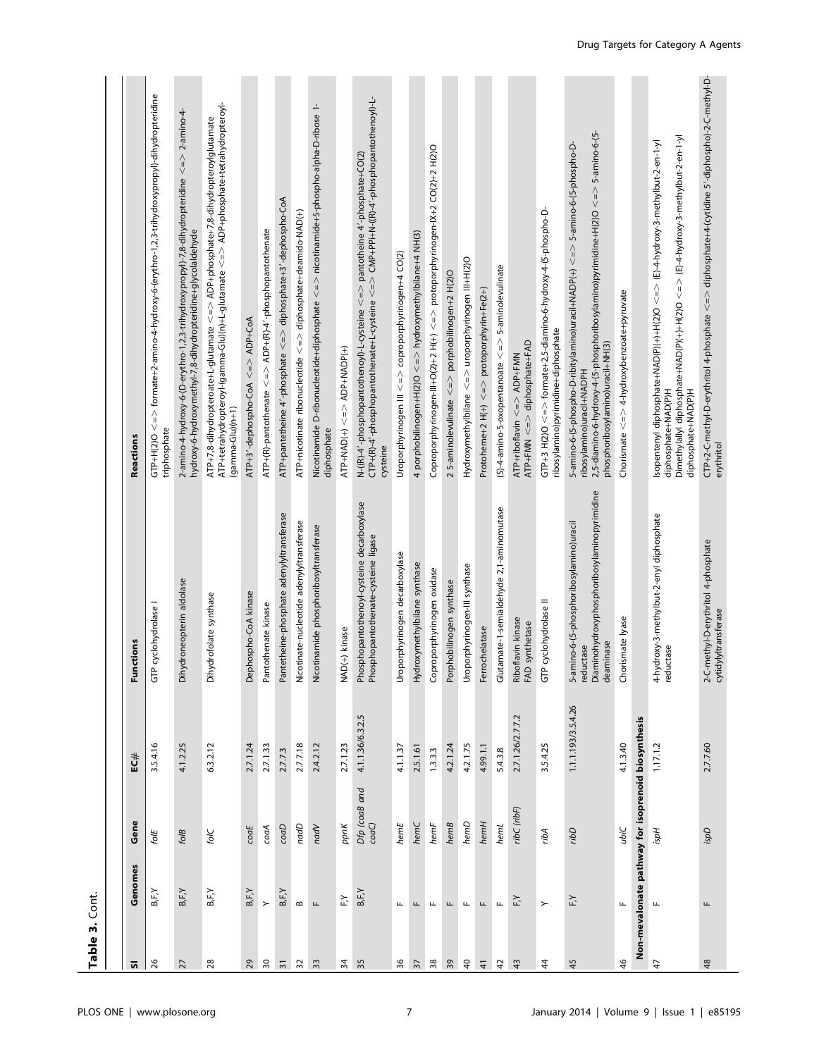| Table 3. Cont.            |                 |                                                    |                    |                                                                                                                   |                                                                                                                                                                                                                                      |
|---------------------------|-----------------|----------------------------------------------------|--------------------|-------------------------------------------------------------------------------------------------------------------|--------------------------------------------------------------------------------------------------------------------------------------------------------------------------------------------------------------------------------------|
|                           |                 |                                                    |                    |                                                                                                                   |                                                                                                                                                                                                                                      |
| ត                         | Genomes         | Gene                                               | EC#                | Functions                                                                                                         | Reactions                                                                                                                                                                                                                            |
| 26                        | B, F, Y         | folE                                               | 3.5.4.16           | P cyclohydrolase I<br>5                                                                                           | GTP+H(2)O <=> formate+2-amino-4-hydroxy-6-(erythro-1,2,3-trihydroxypropyl)-dihydropteridine<br>triphosphate                                                                                                                          |
| 27                        | B, F, Y         | folB                                               | 4.1.2.25           | Dihydroneopterin aldolase                                                                                         | 2-amino-4-hydroxy-6-(D-erythro-1,2,3-trihydroxypropyl)-7,8-dihydropteridine <=> 2-amino-4-<br>hydroxy-6-hydroxymethyl-7,8-dihydropteridine+glycolaldehyde                                                                            |
| 28                        | B, F, Y         | folC                                               | 6.3.2.12           | Dihydrofolate synthase                                                                                            | ATP+tetrahydropteroyl-(gamma-Glu)(n)+L-glutamate <=> ADP+phosphate+tetrahydropteroyl-<br>ATP+7,8-dihydropteroate+L-glutamate <=> ADP+phosphate+7,8-dihydropteroylglutamate<br>$(gamma-Glu)(n+1)$                                     |
| $^{29}$                   | B, F, Y         | $\mathit{coaE}$                                    | 2.7.1.24           | Dephospho-CoA kinase                                                                                              | ATP+3'-dephospho-CoA <=> ADP+CoA                                                                                                                                                                                                     |
| $\sqrt{2}$                | $\rightarrow$   | coaA                                               | 2.7.1.33           | Pantothenate kinase                                                                                               | ATP+(R)-pantothenate <=> ADP+(R)-4'-phosphopantothenate                                                                                                                                                                              |
| $\overline{\mathfrak{m}}$ | B, F, Y         | CoaD                                               | 2.7.7.3            | Pantetheine-phosphate adenylyltransferase                                                                         | ATP+pantetheine 4'-phosphate <=> diphosphate+3'-dephospho-CoA                                                                                                                                                                        |
| $32\,$                    | $\bf{m}$        | nadD                                               | 2.7.7.18           | Nicotinate-nucleotide adenylyltransferase                                                                         | ATP+nicotinate ribonucleotide <=> diphosphate+deamido-NAD(+)                                                                                                                                                                         |
| 33                        | Щ               | nadV                                               | 2.4.2.12           | Nicotinamide phosphoribosyltransferase                                                                            | Nicotinamide D-ribonucleotide+diphosphate <=> nicotinamide+5-phospho-alpha-D-ribose 1-<br>diphosphate                                                                                                                                |
| ≵                         | ٢Ž              | ppnK                                               | 2.7.1.23           | NAD(+) kinase                                                                                                     | $ATP+NAD(+) < = > ADP+NADP(+)$                                                                                                                                                                                                       |
| 35                        | $B$ , $F$ , $Y$ | Dfp (coaB and<br>coaC)                             | 4.1.1.36/6.3.2.5   | Phosphopantothenoyl-cysteine decarboxylase<br>Phosphopantothenate-cysteine ligase                                 | $\tt CTP+ (R) -4$ '-phosphopantothenate+L-cysteine $\lt = \gt CMP + PPH + N - ((R) -4$ '-phosphopantothenoyl)-L-<br>N-(IR)-4'-phosphopantothenoyl)-L-cysteine $\lt = \gt$ pantotheine 4'-phosphate+CO(2)<br>cysteine                 |
| 96                        | Щ               | hemE                                               | 4.1.1.37           | Uroporphyrinogen decarboxylase                                                                                    | Uroporphyrinogen III <=> coproporphyrinogen+4 CO(2)                                                                                                                                                                                  |
| $rac{2}{3}$               | щ               | hemC                                               | 2.5.1.61           | Hydroxymethylbilane synthase                                                                                      | 4 porphobilinogen+H(2)O <=> hydroxymethylbilane+4 NH(3)                                                                                                                                                                              |
|                           | щ               | henF                                               | 1.3.3.3            | Coproporphyrinogen oxidase                                                                                        | Coproporphyrinogen-III+O(2)+2 H(+) <=> protoporphyrinogen-IX+2 CO(2)+2 H(2)O                                                                                                                                                         |
| $\sqrt{3}$                | щ               | hemB                                               | 4.2.1.24           | Porphobilinogen synthase                                                                                          | 2 5-aminolevulinate <=> porphobilinogen+2 H(2)O                                                                                                                                                                                      |
| $\overline{a}$            | Щ               | hemD                                               | 4.2.1.75           | Uroporphyrinogen-III synthase                                                                                     | Hydroxymethylbilane <=> uroporphyrinogen III+H(2)O                                                                                                                                                                                   |
| $\overline{4}$            | Щ               | hemH                                               | 4.99.1.1           | Ferrochelatase                                                                                                    | Protoheme+2 H(+) <=> protoporphyrin+Fe(2+)                                                                                                                                                                                           |
| 42                        |                 | hemL                                               | 5438               | Glutamate-1-semialdehyde 2,1-aminomutase                                                                          | $(S)-4$ -amino-5-oxopentanoate $\lt = \gt$ 5-aminolevulinate                                                                                                                                                                         |
| $\frac{4}{3}$             | F,Y             | ribC (ribF)                                        | 2.7.1.26/2.7.7.2   | Riboflavin kinase<br>FAD synthetase                                                                               | ATP+FMN <=> diphosphate+FAD<br>ATP+riboflavin <=> ADP+FMN                                                                                                                                                                            |
| 4                         | $\succ$         | ribA                                               | 3.5.4.25           | GTP cyclohydrolase II                                                                                             | GTP+3 H(2)O <=> formate+2,5-diamino-6-hydroxy-4-(5-phospho-D-<br>ribosylamino)pyrimidine+diphosphate                                                                                                                                 |
| 45                        | $\widetilde{F}$ | ribD                                               | 1.1.1.193/3.5.4.26 | Diaminohydroxyphosphoribosylaminopyrimidine<br>5-amino-6-(5-phosphoribosylamino) uracil<br>reductase<br>deaminase | 2,5-diamino-6-hydroxy-4-(5-phosphoribosylamino)pyrimidine+H(2)O <=> 5-amino-6-(5-<br>5-amino-6-(5-phospho-D-ribitylamino)uracil+NADP(+) <=> 5-amino-6-(5-phospho-D-<br>phosphoribosylamino)uracil+NH(3)<br>ribosylamino)uracil+NADPH |
| $\frac{4}{6}$             | щ               | ubiC                                               | 4.1.3.40           | Chorismate lyase                                                                                                  | Chorismate <=> 4-hydroxybenzoate+pyruvate                                                                                                                                                                                            |
|                           |                 | Non-mevalonate pathway for isoprenoid biosynthesis |                    |                                                                                                                   |                                                                                                                                                                                                                                      |
| $\ddot{4}$                | Щ               | Hdsi                                               | 1.17.1.2           | 4-hydroxy-3-methylbut-2-enyl diphosphate<br>reductase                                                             | Dimethylallyl diphosphate+NAD(P)(+)+H(2)O <=> (E)-4-hydroxy-3-methylbut-2-en-1-yl<br>Isopentenyl diphosphate+NAD(P)(+)+H(2)O <=> (E)-4-hydroxy-3-methylbut-2-en-1-yl<br>diphosphate+NAD(P)H<br>diphosphate+NAD(P)H                   |
| 48                        | щ               | <b>Gdsi</b>                                        | 2.7.7.60           | 2-C-methyl-D-erythritol 4-phosphate<br>cytidylyltransferase                                                       | CTP+2-C-methyl-D-erythritol 4-phosphate <=> diphosphate+4-(cytidine 5′-diphospho)-2-C-methyl-D-<br>erythritol                                                                                                                        |
|                           |                 |                                                    |                    |                                                                                                                   |                                                                                                                                                                                                                                      |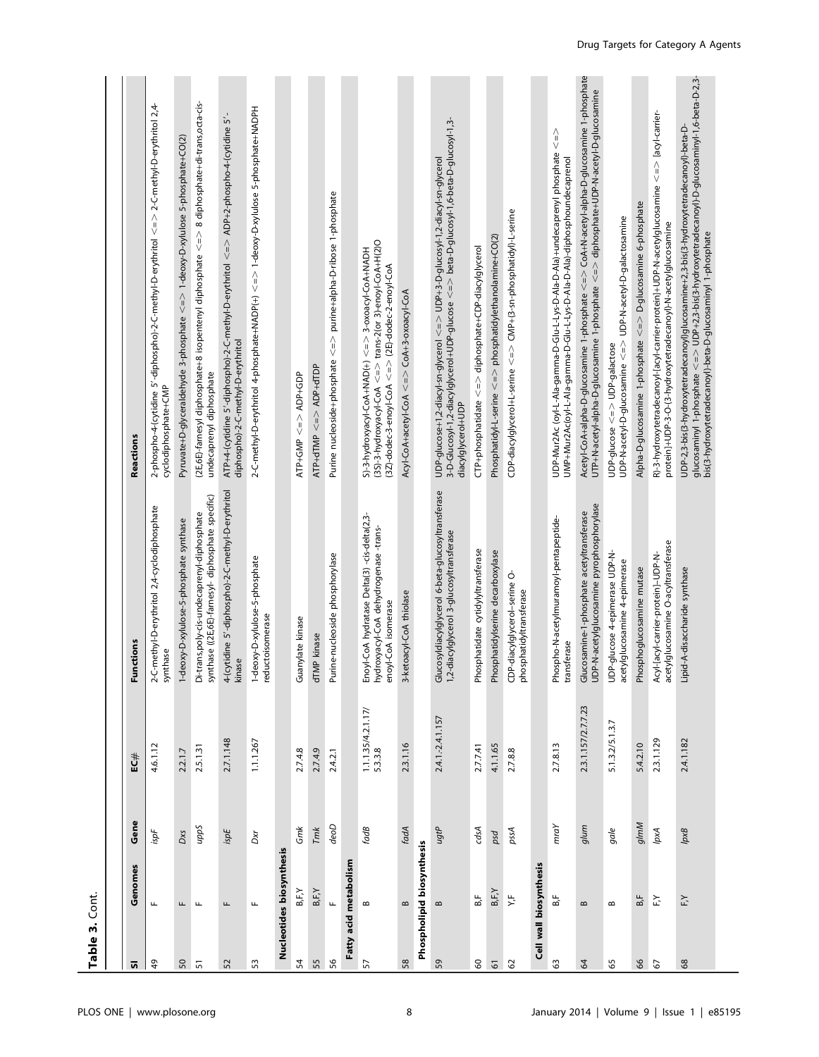| Table 3. Cont. |                           |         |                                 |                                                                                                              |                                                                                                                                                                                                                                                          |
|----------------|---------------------------|---------|---------------------------------|--------------------------------------------------------------------------------------------------------------|----------------------------------------------------------------------------------------------------------------------------------------------------------------------------------------------------------------------------------------------------------|
|                |                           |         |                                 |                                                                                                              |                                                                                                                                                                                                                                                          |
| ត              | Genomes                   | Gene    | ≣C#                             | Functions                                                                                                    | Reactions                                                                                                                                                                                                                                                |
| $\overline{a}$ | щ                         | ispF    | 4.6.1.12                        | 2-C-methyl-D-erythritol 2,4-cyclodiphosphate<br>synthase                                                     | 2-phospho-4-(cytidine 5'-diphospho)-2-C-methyl-D-erythritol <=> 2-C-methyl-D-erythritol 2,4-<br>cyclodiphosphate+CMP                                                                                                                                     |
| 50             | Щ                         | Dxs     | 2.2.1.7                         | 1-deoxy-D-xylulose-5-phosphate synthase                                                                      | Pyruvate+D-glyceraldehyde 3-phosphate <=> 1-deoxy-D-xylulose 5-phosphate+CO(2)                                                                                                                                                                           |
| $\overline{5}$ | $\mathbf{L}$              | Sadn    | 2.5.1.31                        | synthase ((2E,6E)-farnesyl- diphosphate specific)<br>Di-trans,poly-cis-undecaprenyl-diphosphate              | (2E,6E)-farnesyl diphosphate+8 isopentenyl diphosphate <= > 8 diphosphate+di-trans,octa-cis-<br>undecaprenyl diphosphate                                                                                                                                 |
| 52             | Щ                         | ispE    | 2.7.1.148                       | 4-(cytidine 5'-diphospho)-2-C-methyl-D-erythritol<br>kinase                                                  | ι,<br>ATP+4-(cytidine 5'-diphospho)-2-C-methyl-D-erythritol <=> ADP+2-phospho-4-(cytidine<br>diphospho)-2-C-methyl-D-erythritol                                                                                                                          |
| $53\,$         | щ                         | Dxr     | 1.1.1.267                       | 1-deoxy-D-xylulose-5-phosphate<br>reductoisomerase                                                           | 2-C-methyl-D-erythritol 4-phosphate+NADP(+) <=> 1-deoxy-D-xylulose 5-phosphate+NADPH                                                                                                                                                                     |
|                | Nucleotides biosynthesis  |         |                                 |                                                                                                              |                                                                                                                                                                                                                                                          |
| 54             | B,F,Y                     | Gmk     | 2.7.4.8                         | Guanylate kinase                                                                                             | $ATP+GMP \leq N > ADP+GDP$                                                                                                                                                                                                                               |
| 55             | $B$ , $F$ , $Y$           | Tmk     | 2.7.4.9                         | dTMP kinase                                                                                                  | $ATP+ dTMP \leq N$ ADP+dTDP                                                                                                                                                                                                                              |
| 56             |                           | deoD    | 2.4.2.1                         | Purine-nucleoside phosphorylase                                                                              | Purine nucleoside+phosphate <=> purine+alpha-D-ribose 1-phosphate                                                                                                                                                                                        |
|                | Fatty acid metabolism     |         |                                 |                                                                                                              |                                                                                                                                                                                                                                                          |
| 57             | $\bf{m}$                  | fads    | $1.1.1.35/4.2.1.17/$<br>5.3.3.8 | Enoyl-CoA hydratase Delta(3) -cis-delta(2,3-<br>hydroxyacyl-CoA dehydrogenase -trans-<br>enoyl-CoA isomerase | (3S)-3-hydroxyacyl-CoA <=> trans-2(or 3)-enoyl-CoA+H(2)O<br>HaDH-A-hydroxyacyl-CoA+NAD(+) < = > 3-oxoacyl-CoA+NADH<br>$(3Z)$ -dodec-3-enoyl-CoA $\lt = \gt$ (2E)-dodec-2-enoyl-CoA                                                                       |
| 58             | $\bf{m}$                  | fadA    | 2.3.1.16                        | 3-ketoacyl-CoA thiolase                                                                                      | Acyl-CoA+acetyl-CoA <=> CoA+3-oxoacyl-CoA                                                                                                                                                                                                                |
|                | Phospholipid biosynthesis |         |                                 |                                                                                                              |                                                                                                                                                                                                                                                          |
| 59             | $\bf{m}$                  | ugtP    | 2.4.1.-2.4.1.157                | Glucosyldiacylglycerol 6-beta-glucosyltransferase<br>1,2-diacylglycerol 3-glucosyltransferase                | UDP-glucose+1,2-diacyl-sn-glycerol <=> UDP+3-D-glucosyl-1,2-diacyl-sn-glycerol<br>3-D-Glucosyl-1,2-diacylglycerol+UDP-glucose <=> beta-D-glucosyl-1,6-beta-D-glucosyl-1,3-<br>diacylglycerol+UDP                                                         |
| $\mbox{S}$     | B,F                       | dsA     | 2.7.7.41                        | Phosphatidate cytidylyltransferase                                                                           | CTP+phosphatidate <=> diphosphate+CDP-diacylglycerol                                                                                                                                                                                                     |
| $\overline{6}$ | B,F,Y                     | psd     | 4.1.1.65                        | Phosphatidylserine decarboxylase                                                                             | Phosphatidyl-L-serine $\lt = \gt$ phosphatidylethanolamine+CO(2)                                                                                                                                                                                         |
| 62             | ΥF                        | pssA    | 2.7.8.8                         | CDP-diacylglycerol-serine O-<br>phosphatidyltransferase                                                      | CDP-diacylglycerol+L-serine <=> CMP+(3-sn-phosphatidyl)-L-serine                                                                                                                                                                                         |
|                | Cell wall biosynthesis    |         |                                 |                                                                                                              |                                                                                                                                                                                                                                                          |
| 63             | B,F                       | m r a Y | 2.7.8.13                        | Phospho-N-acetylmuramoyl-pentapeptide-<br>transferase                                                        | $\begin{array}{c}\n\wedge \\ \vee\n\end{array}$<br>UDP-Mur2Ac (oyl-L-Ala-gamma-D-Glu-L-Lys-D-Ala-D-Ala)+undecaprenyl phosphate<br>UMP+Mur2Ac(oyl-L-Ala-gamma-D-Glu-L-Lys-D-Ala-D-Ala)-diphosphoundecaprenol                                              |
| $\mathcal{R}$  | $\bf{m}$                  | annb    | 23.1.157/2.7.7.23               | UDP-N-acetylglucosamine pyrophosphorylase<br>Glucosamine-1-phosphate acetyltransferase                       | Acetyl-CoA+alpha-D-glucosamine 1-phosphate $<$ = $>$ CoA+N-acetyl-alpha-D-glucosamine 1-phosphate<br>UTP+N-acetyl-alpha-D-glucosamine 1-phosphate <=> diphosphate+UDP-N-acetyl-D-glucosamine                                                             |
| $65\,$         | $\infty$                  | gale    | 5.1.3.2/5.1.3.7                 | UDP-glucose 4-epimerase UDP-N-<br>acetylglucosamine 4-epimerase                                              | UDP-N-acetyl-D-glucosamine <=> UDP-N-acetyl-D-galactosamine<br>UDP-glucose <=> UDP-galactose                                                                                                                                                             |
| $8\,$          | ВF                        | almM    | 5.4.2.10                        | Phosphoglucosamine mutase                                                                                    | Alpha-D-glucosamine 1-phosphate <=> D-glucosamine 6-phosphate                                                                                                                                                                                            |
| $67$           | $\tilde{F}$               | lpxA    | 2.3.1.129                       | acetylglucosamine O-acyltransferase<br>Acyl-[acyl-carrier-protein]-UDP-N-                                    | R)-3-hydroxytetradecanoyl-[acyl-carrier-protein]+UDP-N-acetylglucosamine <=> [acyl-carrier-<br>protein]+UDP-3-O-(3-hydroxytetradecanoyl)-N-acetylglucosamine                                                                                             |
| $68$           |                           | gxd     | 2.4.1.182                       | Lipid-A-disaccharide synthase                                                                                | glucosaminyl 1-phosphate <=> UDP+2,3-bis(3-hydroxytetradecanoyl)-D-glucosaminyl-1,6-beta-D-2,3-<br>bis(3-hydroxytetradecanoyl)-beta-D-glucosaminyl 1-phosphate<br>UDP-2,3-bis(3-hydroxytetradecanoyl)glucosamine+2,3-bis(3-hydroxytetradecanoyl)-beta-D- |
|                |                           |         |                                 |                                                                                                              |                                                                                                                                                                                                                                                          |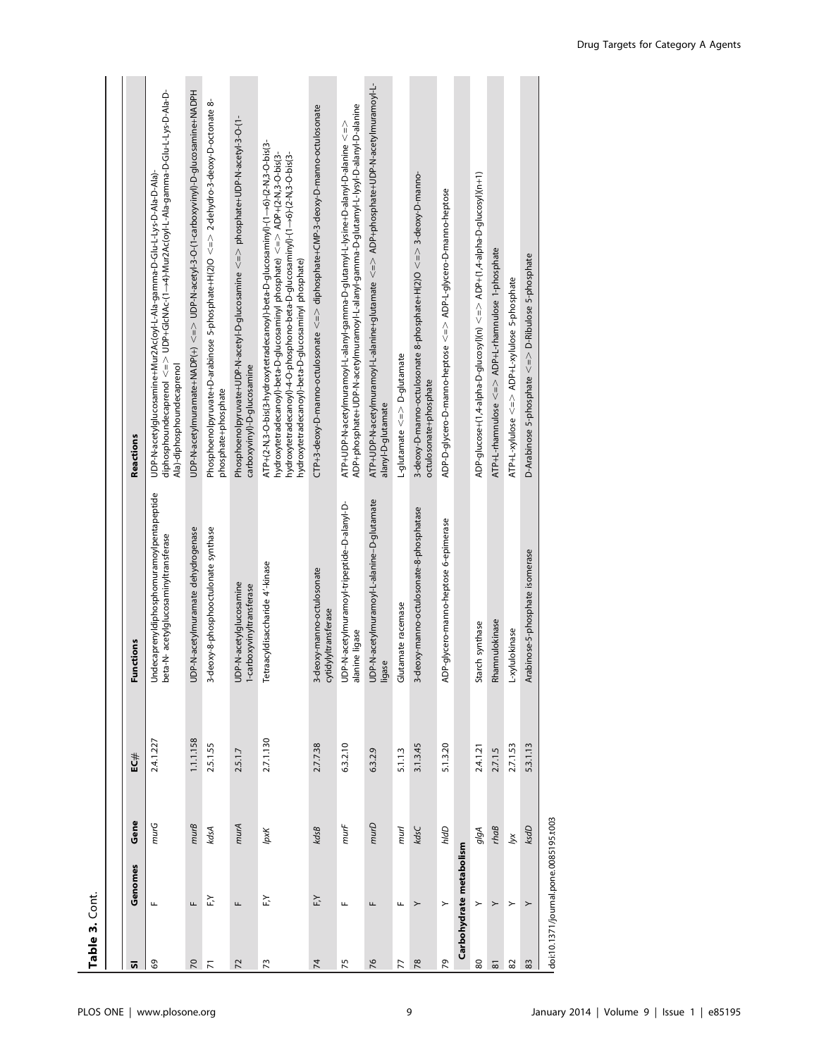| Table 3. Cont. |                                       |                             |           |                                                                                    |                                                                                                                                                                                                                                                                                                                  |
|----------------|---------------------------------------|-----------------------------|-----------|------------------------------------------------------------------------------------|------------------------------------------------------------------------------------------------------------------------------------------------------------------------------------------------------------------------------------------------------------------------------------------------------------------|
|                |                                       |                             |           |                                                                                    |                                                                                                                                                                                                                                                                                                                  |
| 5              | Genomes                               | Gene                        | #⊃E       | <b>Functions</b>                                                                   | Reactions                                                                                                                                                                                                                                                                                                        |
| 69             | Щ                                     | murG                        | 2.4.1.227 | Undecaprenyldiphosphomuramoylpentapeptide<br>beta-N- acetylglucosaminyltransferase | UDP-N-acetylglucosamine+Mur2Ac/oyl-L-Ala-gamma-D-Glu-L-Lys-D-Ala-D-Ala)-<br>Ala)-diphosphoundecaprenol                                                                                                                                                                                                           |
| $\overline{2}$ | Щ                                     | $m \cup B$                  | 1.1.1.58  | UDP-N-acetylmuramate dehydrogenase                                                 | UDP-N-acetylmuramate+NADP(++) <=> UDP-N-acetyl-3-O-(1-carboxyvinyl)-D-glucosamine+NADPH                                                                                                                                                                                                                          |
| $\overline{r}$ | FX                                    | kdsA                        | 2.5.1.55  | 3-deoxy-8-phosphooctulonate synthase                                               | Phosphoenolpyruvate+D-arabinose 5-phosphate+H(2)O $\lt =$ $\ge$ 2-dehydro-3-deoxy-D-octonate 8-<br>phosphate+phosphate                                                                                                                                                                                           |
| $\overline{z}$ | Щ                                     | murA                        | 2.5.1.7   | UDP-N-acetylglucosamine<br>1-carboxyvinyltran <i>s</i> ferase                      | Phosphoenolpyruvate+UDP-N-acetyl-D-glucosamine <=> phosphate+UDP-N-acetyl-3-0-{1-<br>carboxyvinyl)-D-glucosamine                                                                                                                                                                                                 |
| $\mathfrak{L}$ | FY                                    | lpxK                        | 2.7.1.130 | Tetraacyldisaccharide 4'-kinase                                                    | ATP+(2-N,3-O-bis(3-hydroxytetradecanoyl)-beta-D-glucosaminyl)-(1-->6)-(2-N,3-O-bis(3-<br>hydroxytetradecanoyl)-beta-D-glucosaminyl phosphate) <=> ADP+(2-N,3-O-bis(3-<br>hydroxytetradecanoyl)-4-O-phosphono-beta-D-glucosaminyl)-(1->6)-(2-N,3-O-bis(3-<br>hydroxytetradecanoyl)-beta-D-glucosaminyl phosphate) |
| $\overline{7}$ | F,Y                                   | kdsB                        | 2.7.7.38  | 3-deoxy-manno-octulosonate<br>cytidylyltransferase                                 | CTP+3-deoxy-D-manno-octulosonate <=> diphosphate+CMP-3-deoxy-D-manno-octulosonate                                                                                                                                                                                                                                |
| 75             | Щ                                     | murF                        | 6.3.2.10  | UDP-N-acetylmuramoyl-tripeptide-D-alanyl-D-<br>alanine ligase                      | ADP+phosphate+UDP-N-acetylmuramoyl-L-alanyl-gamma-D-glutamyl-L-lysyl-D-alanyl-D-alanine<br>ATP+UDP-N-acetylmuramoyl-L-alanyl-gamma-D-glutamyl-L-lysine+D-alanyl-D-alanine <=>                                                                                                                                    |
| 76             | Щ                                     | murD                        | 6.3.2.9   | UDP-N-acetylmuramoyl-L-alanine-D-glutamate<br>ligase                               | ATP+UDP-N-acetylmuramoyl-L-alanine+glutamate < = > ADP+phosphate+UDP-N-acetylmuramoyl-L-<br>alanyl-D-glutamate                                                                                                                                                                                                   |
| 77             | Щ                                     | murl                        | 5.1.1.3   | lutamate racemase<br>ত                                                             | L-glutamate <=> D-glutamate                                                                                                                                                                                                                                                                                      |
| 78             | ≻                                     | kdsC                        | 3.1.3.45  | 3-deoxy-manno-octulosonate-8-phosphatase                                           | 3-deoxy-D-manno-octulosonate 8-phosphate+H(2)O <=> 3-deoxy-D-manno-<br>octulosonate+phosphate                                                                                                                                                                                                                    |
| 29             | $\geq$                                | hldD                        | 5.1.3.20  | ADP-glycero-manno-heptose 6-epimerase                                              | ADP-D-glycero-D-manno-heptose <=> ADP-L-glycero-D-manno-heptose                                                                                                                                                                                                                                                  |
|                | Carbohydrate metabolism               |                             |           |                                                                                    |                                                                                                                                                                                                                                                                                                                  |
| $80\,$         | $\mathord{\succ}$                     | olgA                        | 2.4.1.21  | Starch synthase                                                                    | ADP-glucose+(1,4-alpha-D-glucosyl)(n) <=> ADP+(1,4-alpha-D-glucosyl)(n+1)                                                                                                                                                                                                                                        |
| $\overline{8}$ | $\succ$                               | $r$ <i>ha<math>B</math></i> | 2.7.1.5   | Rhamnulokinase                                                                     | ATP+L-rhamnulose <=> ADP+L-rhamnulose 1-phosphate                                                                                                                                                                                                                                                                |
| $82\,$         | $\succ$                               | $\breve{\le}$               | 2.7.1.53  | L-xylulokinase                                                                     | ATP+L-xylulose <=> ADP+L-xylulose 5-phosphate                                                                                                                                                                                                                                                                    |
| 83             | $\geq$                                | ksdD                        | 5.3.1.13  | Arabinose-5-phosphate isomerase                                                    | D-Arabinose 5-phosphate <=> D-Ribulose 5-phosphate                                                                                                                                                                                                                                                               |
|                | doi:10.1371/journal.pone.0085195.t003 |                             |           |                                                                                    |                                                                                                                                                                                                                                                                                                                  |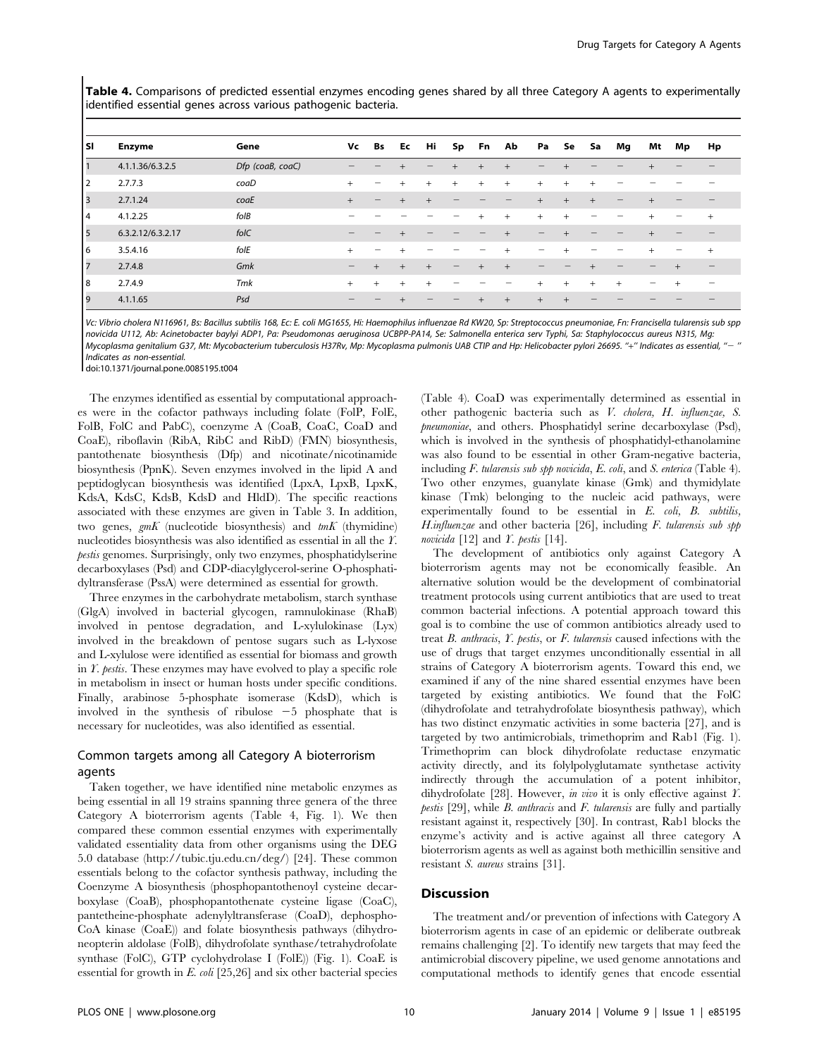Table 4. Comparisons of predicted essential enzymes encoding genes shared by all three Category A agents to experimentally identified essential genes across various pathogenic bacteria.

| l sı     | <b>Enzyme</b>     | Gene             | Vc                             | Bs     | Ec     | Hi                | Sp  | Fn     | Ab     | Pa     | Se        | Sa     | Mg                | Mt                       | Mp | Hp        |
|----------|-------------------|------------------|--------------------------------|--------|--------|-------------------|-----|--------|--------|--------|-----------|--------|-------------------|--------------------------|----|-----------|
|          | 4.1.1.36/6.3.2.5  | Dfp (coaB, coaC) |                                |        | $^{+}$ | $\qquad \qquad -$ | $+$ | $+$    | $+$    |        |           |        |                   |                          |    |           |
| 2        | 2.7.7.3           | coaD             | $^{+}$                         | -      | $+$    | $+$               | $+$ | $+$    | $^{+}$ | $+$    | $+$       |        |                   |                          |    |           |
| 3        | 2.7.1.24          | coaE             | $+$                            | -      | $+$    | $^{+}$            |     |        |        | $+$    | $+$       | $^{+}$ | $\qquad \qquad -$ | $\ddot{}$                |    |           |
| <b>4</b> | 4.1.2.25          | $f$ ol $B$       |                                |        |        |                   |     | $^{+}$ | $^{+}$ | $^{+}$ | $\ddot{}$ |        |                   | $\ddot{}$                |    |           |
| 5        | 6.3.2.12/6.3.2.17 | folC             | -                              | -      |        |                   |     |        |        |        |           |        |                   |                          |    |           |
| I6       | 3.5.4.16          | folE             | $^{+}$                         | -      | $^{+}$ |                   |     |        | $^{+}$ | -      |           |        |                   | $\ddot{}$                | -  | $\ddot{}$ |
| 7        | 2.7.4.8           | Gmk              | $\qquad \qquad \longleftarrow$ | $^{+}$ | $+$    | $+$               | $-$ |        | $+$    |        |           |        |                   |                          |    | -         |
| 8        | 2.7.4.9           | <b>Tmk</b>       | $+$                            | $+$    | $+$    | $+$               |     |        |        | $^{+}$ | $\ddot{}$ | $^+$   | $^{+}$            | $\overline{\phantom{a}}$ |    | -         |
| 19       | 4.1.1.65          | Psd              | -                              | -      |        |                   |     |        | $^{+}$ | $^{+}$ |           |        |                   |                          |    |           |

Vc: Vibrio cholera N116961, Bs: Bacillus subtilis 168, Ec: E. coli MG1655, Hi: Haemophilus influenzae Rd KW20, Sp: Streptococcus pneumoniae, Fn: Francisella tularensis sub spp novicida U112, Ab: Acinetobacter baylyi ADP1, Pa: Pseudomonas aeruginosa UCBPP-PA14, Se: Salmonella enterica serv Typhi, Sa: Staphylococcus aureus N315, Mg: Mycoplasma genitalium G37, Mt: Mycobacterium tuberculosis H37Rv, Mp: Mycoplasma pulmonis UAB CTIP and Hp: Helicobacter pylori 26695. ''+'' Indicates as essential, ''2 '' Indicates as non-essential.

doi:10.1371/journal.pone.0085195.t004

The enzymes identified as essential by computational approaches were in the cofactor pathways including folate (FolP, FolE, FolB, FolC and PabC), coenzyme A (CoaB, CoaC, CoaD and CoaE), riboflavin (RibA, RibC and RibD) (FMN) biosynthesis, pantothenate biosynthesis (Dfp) and nicotinate/nicotinamide biosynthesis (PpnK). Seven enzymes involved in the lipid A and peptidoglycan biosynthesis was identified (LpxA, LpxB, LpxK, KdsA, KdsC, KdsB, KdsD and HldD). The specific reactions associated with these enzymes are given in Table 3. In addition, two genes,  $gmK$  (nucleotide biosynthesis) and  $tmK$  (thymidine) nucleotides biosynthesis was also identified as essential in all the Y. pestis genomes. Surprisingly, only two enzymes, phosphatidylserine decarboxylases (Psd) and CDP-diacylglycerol-serine O-phosphatidyltransferase (PssA) were determined as essential for growth.

Three enzymes in the carbohydrate metabolism, starch synthase (GlgA) involved in bacterial glycogen, ramnulokinase (RhaB) involved in pentose degradation, and L-xylulokinase (Lyx) involved in the breakdown of pentose sugars such as L-lyxose and L-xylulose were identified as essential for biomass and growth in Y. pestis. These enzymes may have evolved to play a specific role in metabolism in insect or human hosts under specific conditions. Finally, arabinose 5-phosphate isomerase (KdsD), which is involved in the synthesis of ribulose  $-5$  phosphate that is necessary for nucleotides, was also identified as essential.

## Common targets among all Category A bioterrorism agents

Taken together, we have identified nine metabolic enzymes as being essential in all 19 strains spanning three genera of the three Category A bioterrorism agents (Table 4, Fig. 1). We then compared these common essential enzymes with experimentally validated essentiality data from other organisms using the DEG 5.0 database (http://tubic.tju.edu.cn/deg/) [24]. These common essentials belong to the cofactor synthesis pathway, including the Coenzyme A biosynthesis (phosphopantothenoyl cysteine decarboxylase (CoaB), phosphopantothenate cysteine ligase (CoaC), pantetheine-phosphate adenylyltransferase (CoaD), dephospho-CoA kinase (CoaE)) and folate biosynthesis pathways (dihydroneopterin aldolase (FolB), dihydrofolate synthase/tetrahydrofolate synthase (FolC), GTP cyclohydrolase I (FolE)) (Fig. 1). CoaE is essential for growth in E. coli [25,26] and six other bacterial species

(Table 4). CoaD was experimentally determined as essential in other pathogenic bacteria such as V. cholera, H. influenzae, S. pneumoniae, and others. Phosphatidyl serine decarboxylase (Psd), which is involved in the synthesis of phosphatidyl-ethanolamine was also found to be essential in other Gram-negative bacteria, including F. tularensis sub spp novicida, E. coli, and S. enterica (Table 4). Two other enzymes, guanylate kinase (Gmk) and thymidylate kinase (Tmk) belonging to the nucleic acid pathways, were experimentally found to be essential in E. coli, B. subtilis, H.influenzae and other bacteria  $[26]$ , including F. tularensis sub spp novicida  $[12]$  and Y. pestis  $[14]$ .

The development of antibiotics only against Category A bioterrorism agents may not be economically feasible. An alternative solution would be the development of combinatorial treatment protocols using current antibiotics that are used to treat common bacterial infections. A potential approach toward this goal is to combine the use of common antibiotics already used to treat B. anthracis, Y. pestis, or F. tularensis caused infections with the use of drugs that target enzymes unconditionally essential in all strains of Category A bioterrorism agents. Toward this end, we examined if any of the nine shared essential enzymes have been targeted by existing antibiotics. We found that the FolC (dihydrofolate and tetrahydrofolate biosynthesis pathway), which has two distinct enzymatic activities in some bacteria [27], and is targeted by two antimicrobials, trimethoprim and Rab1 (Fig. 1). Trimethoprim can block dihydrofolate reductase enzymatic activity directly, and its folylpolyglutamate synthetase activity indirectly through the accumulation of a potent inhibitor, dihydrofolate [28]. However, in vivo it is only effective against  $Y$ . pestis [29], while B. anthracis and F. tularensis are fully and partially resistant against it, respectively [30]. In contrast, Rab1 blocks the enzyme's activity and is active against all three category A bioterrorism agents as well as against both methicillin sensitive and resistant S. aureus strains [31].

#### **Discussion**

The treatment and/or prevention of infections with Category A bioterrorism agents in case of an epidemic or deliberate outbreak remains challenging [2]. To identify new targets that may feed the antimicrobial discovery pipeline, we used genome annotations and computational methods to identify genes that encode essential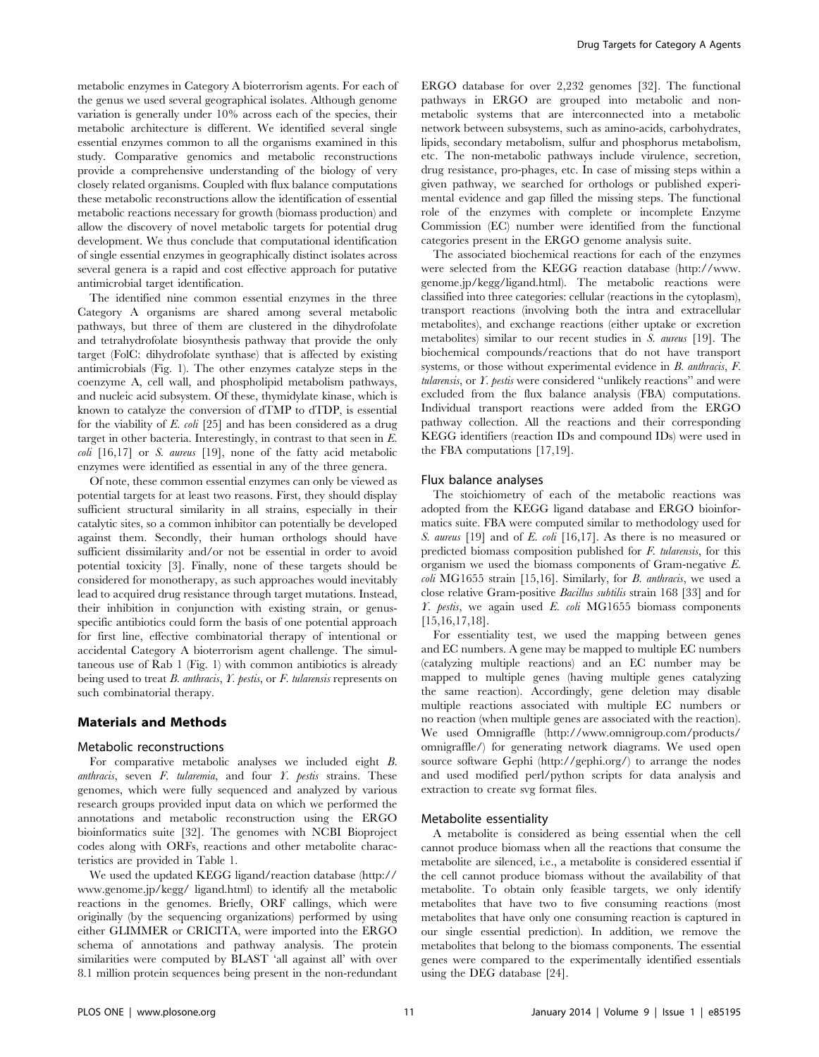metabolic enzymes in Category A bioterrorism agents. For each of the genus we used several geographical isolates. Although genome variation is generally under 10% across each of the species, their metabolic architecture is different. We identified several single essential enzymes common to all the organisms examined in this study. Comparative genomics and metabolic reconstructions provide a comprehensive understanding of the biology of very closely related organisms. Coupled with flux balance computations these metabolic reconstructions allow the identification of essential metabolic reactions necessary for growth (biomass production) and allow the discovery of novel metabolic targets for potential drug development. We thus conclude that computational identification of single essential enzymes in geographically distinct isolates across several genera is a rapid and cost effective approach for putative antimicrobial target identification.

The identified nine common essential enzymes in the three Category A organisms are shared among several metabolic pathways, but three of them are clustered in the dihydrofolate and tetrahydrofolate biosynthesis pathway that provide the only target (FolC: dihydrofolate synthase) that is affected by existing antimicrobials (Fig. 1). The other enzymes catalyze steps in the coenzyme A, cell wall, and phospholipid metabolism pathways, and nucleic acid subsystem. Of these, thymidylate kinase, which is known to catalyze the conversion of dTMP to dTDP, is essential for the viability of E. coli [25] and has been considered as a drug target in other bacteria. Interestingly, in contrast to that seen in E.  $\text{coli}$  [16,17] or *S. aureus* [19], none of the fatty acid metabolic enzymes were identified as essential in any of the three genera.

Of note, these common essential enzymes can only be viewed as potential targets for at least two reasons. First, they should display sufficient structural similarity in all strains, especially in their catalytic sites, so a common inhibitor can potentially be developed against them. Secondly, their human orthologs should have sufficient dissimilarity and/or not be essential in order to avoid potential toxicity [3]. Finally, none of these targets should be considered for monotherapy, as such approaches would inevitably lead to acquired drug resistance through target mutations. Instead, their inhibition in conjunction with existing strain, or genusspecific antibiotics could form the basis of one potential approach for first line, effective combinatorial therapy of intentional or accidental Category A bioterrorism agent challenge. The simultaneous use of Rab 1 (Fig. 1) with common antibiotics is already being used to treat  $B$ . anthracis,  $Y$ . pestis, or  $F$ . tularensis represents on such combinatorial therapy.

#### Materials and Methods

#### Metabolic reconstructions

For comparative metabolic analyses we included eight B. anthracis, seven  $F$ . tularemia, and four  $Y$ . pestis strains. These genomes, which were fully sequenced and analyzed by various research groups provided input data on which we performed the annotations and metabolic reconstruction using the ERGO bioinformatics suite [32]. The genomes with NCBI Bioproject codes along with ORFs, reactions and other metabolite characteristics are provided in Table 1.

We used the updated KEGG ligand/reaction database (http:// www.genome.jp/kegg/ ligand.html) to identify all the metabolic reactions in the genomes. Briefly, ORF callings, which were originally (by the sequencing organizations) performed by using either GLIMMER or CRICITA, were imported into the ERGO schema of annotations and pathway analysis. The protein similarities were computed by BLAST 'all against all' with over 8.1 million protein sequences being present in the non-redundant

ERGO database for over 2,232 genomes [32]. The functional pathways in ERGO are grouped into metabolic and nonmetabolic systems that are interconnected into a metabolic network between subsystems, such as amino-acids, carbohydrates, lipids, secondary metabolism, sulfur and phosphorus metabolism, etc. The non-metabolic pathways include virulence, secretion, drug resistance, pro-phages, etc. In case of missing steps within a given pathway, we searched for orthologs or published experimental evidence and gap filled the missing steps. The functional role of the enzymes with complete or incomplete Enzyme Commission (EC) number were identified from the functional categories present in the ERGO genome analysis suite.

The associated biochemical reactions for each of the enzymes were selected from the KEGG reaction database (http://www. genome.jp/kegg/ligand.html). The metabolic reactions were classified into three categories: cellular (reactions in the cytoplasm), transport reactions (involving both the intra and extracellular metabolites), and exchange reactions (either uptake or excretion metabolites) similar to our recent studies in S. aureus [19]. The biochemical compounds/reactions that do not have transport systems, or those without experimental evidence in B. anthracis, F. tularensis, or Y. pestis were considered ''unlikely reactions'' and were excluded from the flux balance analysis (FBA) computations. Individual transport reactions were added from the ERGO pathway collection. All the reactions and their corresponding KEGG identifiers (reaction IDs and compound IDs) were used in the FBA computations [17,19].

#### Flux balance analyses

The stoichiometry of each of the metabolic reactions was adopted from the KEGG ligand database and ERGO bioinformatics suite. FBA were computed similar to methodology used for S. aureus [19] and of E. coli [16,17]. As there is no measured or predicted biomass composition published for F. tularensis, for this organism we used the biomass components of Gram-negative E. coli MG1655 strain [15,16]. Similarly, for B. anthracis, we used a close relative Gram-positive Bacillus subtilis strain 168 [33] and for  $Y.$  pestis, we again used  $E.$  coli MG1655 biomass components [15,16,17,18].

For essentiality test, we used the mapping between genes and EC numbers. A gene may be mapped to multiple EC numbers (catalyzing multiple reactions) and an EC number may be mapped to multiple genes (having multiple genes catalyzing the same reaction). Accordingly, gene deletion may disable multiple reactions associated with multiple EC numbers or no reaction (when multiple genes are associated with the reaction). We used Omnigraffle (http://www.omnigroup.com/products/ omnigraffle/) for generating network diagrams. We used open source software Gephi (http://gephi.org/) to arrange the nodes and used modified perl/python scripts for data analysis and extraction to create svg format files.

#### Metabolite essentiality

A metabolite is considered as being essential when the cell cannot produce biomass when all the reactions that consume the metabolite are silenced, i.e., a metabolite is considered essential if the cell cannot produce biomass without the availability of that metabolite. To obtain only feasible targets, we only identify metabolites that have two to five consuming reactions (most metabolites that have only one consuming reaction is captured in our single essential prediction). In addition, we remove the metabolites that belong to the biomass components. The essential genes were compared to the experimentally identified essentials using the DEG database [24].